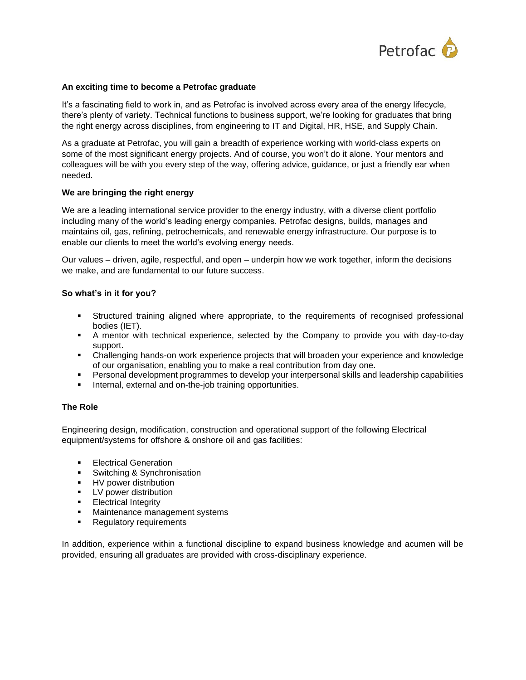

## **An exciting time to become a Petrofac graduate**

It's a fascinating field to work in, and as Petrofac is involved across every area of the energy lifecycle, there's plenty of variety. Technical functions to business support, we're looking for graduates that bring the right energy across disciplines, from engineering to IT and Digital, HR, HSE, and Supply Chain.

As a graduate at Petrofac, you will gain a breadth of experience working with world-class experts on some of the most significant energy projects. And of course, you won't do it alone. Your mentors and colleagues will be with you every step of the way, offering advice, guidance, or just a friendly ear when needed.

## **We are bringing the right energy**

We are a leading international service provider to the energy industry, with a diverse client portfolio including many of the world's leading energy companies. Petrofac designs, builds, manages and maintains oil, gas, refining, petrochemicals, and renewable energy infrastructure. Our purpose is to enable our clients to meet the world's evolving energy needs.

Our values – driven, agile, respectful, and open – underpin how we work together, inform the decisions we make, and are fundamental to our future success.

# **So what's in it for you?**

- Structured training aligned where appropriate, to the requirements of recognised professional bodies (IET).
- A mentor with technical experience, selected by the Company to provide you with day-to-day support.
- Challenging hands-on work experience projects that will broaden your experience and knowledge of our organisation, enabling you to make a real contribution from day one.
- Personal development programmes to develop your interpersonal skills and leadership capabilities
- Internal, external and on-the-job training opportunities.

## **The Role**

Engineering design, modification, construction and operational support of the following Electrical equipment/systems for offshore & onshore oil and gas facilities:

- **Electrical Generation**
- Switching & Synchronisation
- **■** HV power distribution
- **•** LV power distribution
- **Electrical Integrity**<br>• Maintenance mans
- Maintenance management systems
- Regulatory requirements

In addition, experience within a functional discipline to expand business knowledge and acumen will be provided, ensuring all graduates are provided with cross-disciplinary experience.